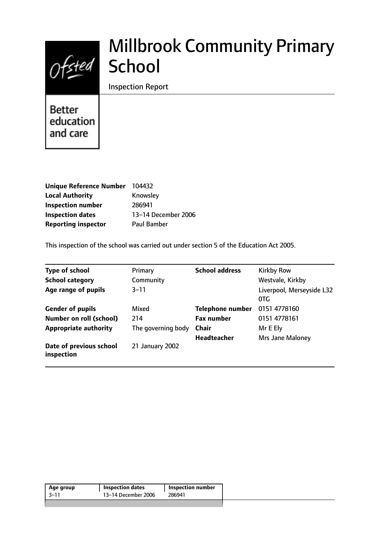

# Millbrook Community Primary **School**

Inspection Report

**Better** education and care

| Unique Reference Number 104432 |                     |
|--------------------------------|---------------------|
| <b>Local Authority</b>         | Knowsley            |
| <b>Inspection number</b>       | 286941              |
| <b>Inspection dates</b>        | 13-14 December 2006 |
| <b>Reporting inspector</b>     | <b>Paul Bamber</b>  |

This inspection of the school was carried out under section 5 of the Education Act 2005.

| <b>Type of school</b>                 | Primary            | <b>School address</b>   | <b>Kirkby Row</b>                |
|---------------------------------------|--------------------|-------------------------|----------------------------------|
| <b>School category</b>                | Community          |                         | Westvale, Kirkby                 |
| Age range of pupils                   | $3 - 11$           |                         | Liverpool, Merseyside L32<br>0TG |
| <b>Gender of pupils</b>               | Mixed              | <b>Telephone number</b> | 0151 4778160                     |
| <b>Number on roll (school)</b>        | 214                | <b>Fax number</b>       | 0151 4778161                     |
| <b>Appropriate authority</b>          | The governing body | <b>Chair</b>            | Mr E Ely                         |
|                                       |                    | <b>Headteacher</b>      | <b>Mrs Jane Maloney</b>          |
| Date of previous school<br>inspection | 21 January 2002    |                         |                                  |

| $-11$<br>13-14 December 2006<br>286941 | Age group | <b>Inspection dates</b> | <b>Inspection number</b> |  |
|----------------------------------------|-----------|-------------------------|--------------------------|--|
|                                        |           |                         |                          |  |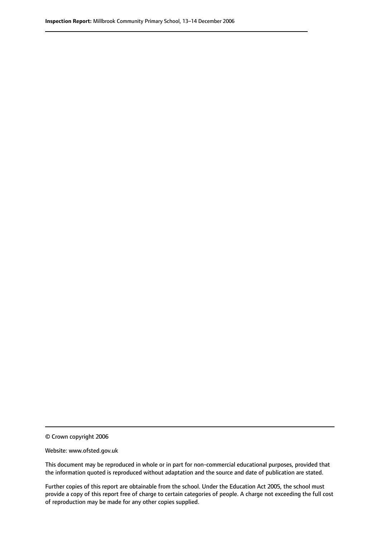© Crown copyright 2006

Website: www.ofsted.gov.uk

This document may be reproduced in whole or in part for non-commercial educational purposes, provided that the information quoted is reproduced without adaptation and the source and date of publication are stated.

Further copies of this report are obtainable from the school. Under the Education Act 2005, the school must provide a copy of this report free of charge to certain categories of people. A charge not exceeding the full cost of reproduction may be made for any other copies supplied.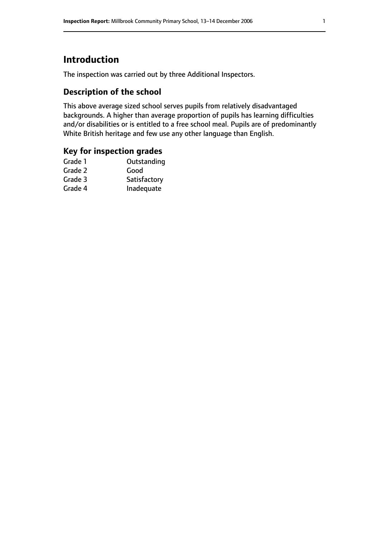# **Introduction**

The inspection was carried out by three Additional Inspectors.

# **Description of the school**

This above average sized school serves pupils from relatively disadvantaged backgrounds. A higher than average proportion of pupils has learning difficulties and/or disabilities or is entitled to a free school meal. Pupils are of predominantly White British heritage and few use any other language than English.

## **Key for inspection grades**

| Grade 1 | Outstanding  |
|---------|--------------|
| Grade 2 | Good         |
| Grade 3 | Satisfactory |
| Grade 4 | Inadequate   |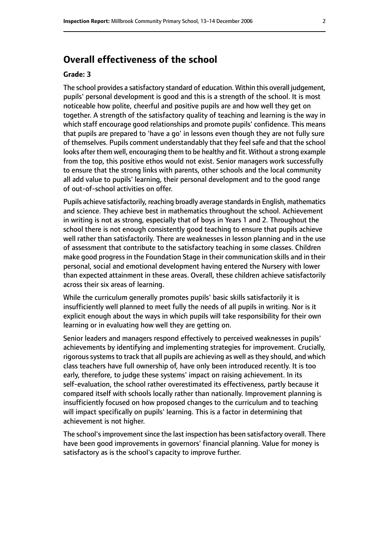# **Overall effectiveness of the school**

#### **Grade: 3**

The school provides a satisfactory standard of education. Within this overall judgement, pupils' personal development is good and this is a strength of the school. It is most noticeable how polite, cheerful and positive pupils are and how well they get on together. A strength of the satisfactory quality of teaching and learning is the way in which staff encourage good relationships and promote pupils' confidence. This means that pupils are prepared to 'have a go' in lessons even though they are not fully sure of themselves. Pupils comment understandably that they feel safe and that the school looks after them well, encouraging them to be healthy and fit. Without a strong example from the top, this positive ethos would not exist. Senior managers work successfully to ensure that the strong links with parents, other schools and the local community all add value to pupils' learning, their personal development and to the good range of out-of-school activities on offer.

Pupils achieve satisfactorily, reaching broadly average standards in English, mathematics and science. They achieve best in mathematics throughout the school. Achievement in writing is not as strong, especially that of boys in Years 1 and 2. Throughout the school there is not enough consistently good teaching to ensure that pupils achieve well rather than satisfactorily. There are weaknesses in lesson planning and in the use of assessment that contribute to the satisfactory teaching in some classes. Children make good progress in the Foundation Stage in their communication skills and in their personal, social and emotional development having entered the Nursery with lower than expected attainment in these areas. Overall, these children achieve satisfactorily across their six areas of learning.

While the curriculum generally promotes pupils' basic skills satisfactorily it is insufficiently well planned to meet fully the needs of all pupils in writing. Nor is it explicit enough about the ways in which pupils will take responsibility for their own learning or in evaluating how well they are getting on.

Senior leaders and managers respond effectively to perceived weaknesses in pupils' achievements by identifying and implementing strategies for improvement. Crucially, rigorous systems to track that all pupils are achieving as well as they should, and which class teachers have full ownership of, have only been introduced recently. It is too early, therefore, to judge these systems' impact on raising achievement. In its self-evaluation, the school rather overestimated its effectiveness, partly because it compared itself with schools locally rather than nationally. Improvement planning is insufficiently focused on how proposed changes to the curriculum and to teaching will impact specifically on pupils' learning. This is a factor in determining that achievement is not higher.

The school's improvement since the last inspection has been satisfactory overall. There have been good improvements in governors' financial planning. Value for money is satisfactory as is the school's capacity to improve further.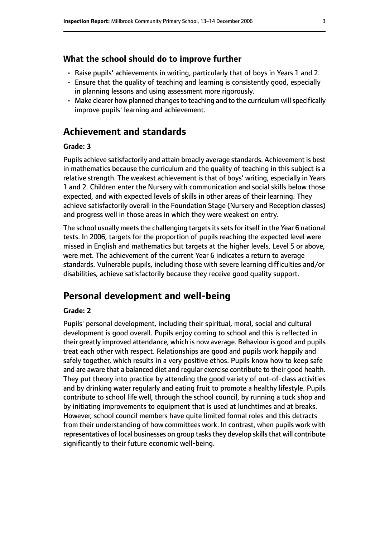#### **What the school should do to improve further**

- Raise pupils' achievements in writing, particularly that of boys in Years 1 and 2.
- Ensure that the quality of teaching and learning is consistently good, especially in planning lessons and using assessment more rigorously.
- Make clearer how planned changes to teaching and to the curriculum will specifically improve pupils' learning and achievement.

# **Achievement and standards**

#### **Grade: 3**

Pupils achieve satisfactorily and attain broadly average standards. Achievement is best in mathematics because the curriculum and the quality of teaching in this subject is a relative strength. The weakest achievement is that of boys' writing, especially in Years 1 and 2. Children enter the Nursery with communication and social skills below those expected, and with expected levels of skills in other areas of their learning. They achieve satisfactorily overall in the Foundation Stage (Nursery and Reception classes) and progress well in those areas in which they were weakest on entry.

The school usually meets the challenging targets its sets for itself in the Year 6 national tests. In 2006, targets for the proportion of pupils reaching the expected level were missed in English and mathematics but targets at the higher levels, Level 5 or above, were met. The achievement of the current Year 6 indicates a return to average standards. Vulnerable pupils, including those with severe learning difficulties and/or disabilities, achieve satisfactorily because they receive good quality support.

# **Personal development and well-being**

#### **Grade: 2**

Pupils' personal development, including their spiritual, moral, social and cultural development is good overall. Pupils enjoy coming to school and this is reflected in their greatly improved attendance, which is now average. Behaviour is good and pupils treat each other with respect. Relationships are good and pupils work happily and safely together, which results in a very positive ethos. Pupils know how to keep safe and are aware that a balanced diet and regular exercise contribute to their good health. They put theory into practice by attending the good variety of out-of-class activities and by drinking water regularly and eating fruit to promote a healthy lifestyle. Pupils contribute to school life well, through the school council, by running a tuck shop and by initiating improvements to equipment that is used at lunchtimes and at breaks. However, school council members have quite limited formal roles and this detracts from their understanding of how committees work. In contrast, when pupils work with representatives of local businesses on group tasks they develop skills that will contribute significantly to their future economic well-being.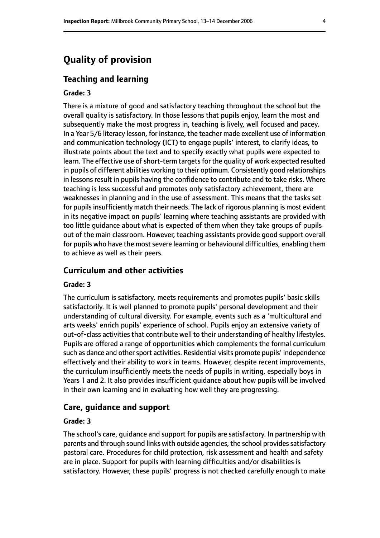# **Quality of provision**

#### **Teaching and learning**

#### **Grade: 3**

There is a mixture of good and satisfactory teaching throughout the school but the overall quality is satisfactory. In those lessons that pupils enjoy, learn the most and subsequently make the most progress in, teaching is lively, well focused and pacey. In a Year 5/6 literacy lesson, for instance, the teacher made excellent use of information and communication technology (ICT) to engage pupils' interest, to clarify ideas, to illustrate points about the text and to specify exactly what pupils were expected to learn. The effective use of short-term targets for the quality of work expected resulted in pupils of different abilities working to their optimum. Consistently good relationships in lessons result in pupils having the confidence to contribute and to take risks. Where teaching is less successful and promotes only satisfactory achievement, there are weaknesses in planning and in the use of assessment. This means that the tasks set for pupils insufficiently match their needs. The lack of rigorous planning is most evident in its negative impact on pupils' learning where teaching assistants are provided with too little guidance about what is expected of them when they take groups of pupils out of the main classroom. However, teaching assistants provide good support overall for pupils who have the most severe learning or behavioural difficulties, enabling them to achieve as well as their peers.

#### **Curriculum and other activities**

#### **Grade: 3**

The curriculum is satisfactory, meets requirements and promotes pupils' basic skills satisfactorily. It is well planned to promote pupils' personal development and their understanding of cultural diversity. For example, events such as a 'multicultural and arts weeks' enrich pupils' experience of school. Pupils enjoy an extensive variety of out-of-class activities that contribute well to their understanding of healthy lifestyles. Pupils are offered a range of opportunities which complements the formal curriculum such as dance and other sport activities. Residential visits promote pupils' independence effectively and their ability to work in teams. However, despite recent improvements, the curriculum insufficiently meets the needs of pupils in writing, especially boys in Years 1 and 2. It also provides insufficient guidance about how pupils will be involved in their own learning and in evaluating how well they are progressing.

#### **Care, guidance and support**

#### **Grade: 3**

The school's care, guidance and support for pupils are satisfactory. In partnership with parents and through sound links with outside agencies, the school provides satisfactory pastoral care. Procedures for child protection, risk assessment and health and safety are in place. Support for pupils with learning difficulties and/or disabilities is satisfactory. However, these pupils' progress is not checked carefully enough to make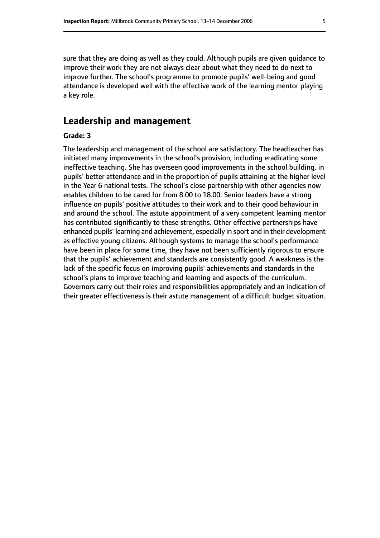sure that they are doing as well as they could. Although pupils are given guidance to improve their work they are not always clear about what they need to do next to improve further. The school's programme to promote pupils' well-being and good attendance is developed well with the effective work of the learning mentor playing a key role.

## **Leadership and management**

#### **Grade: 3**

The leadership and management of the school are satisfactory. The headteacher has initiated many improvements in the school's provision, including eradicating some ineffective teaching. She has overseen good improvements in the school building, in pupils' better attendance and in the proportion of pupils attaining at the higher level in the Year 6 national tests. The school's close partnership with other agencies now enables children to be cared for from 8.00 to 18.00. Senior leaders have a strong influence on pupils' positive attitudes to their work and to their good behaviour in and around the school. The astute appointment of a very competent learning mentor has contributed significantly to these strengths. Other effective partnerships have enhanced pupils' learning and achievement, especially in sport and in their development as effective young citizens. Although systems to manage the school's performance have been in place for some time, they have not been sufficiently rigorous to ensure that the pupils' achievement and standards are consistently good. A weakness is the lack of the specific focus on improving pupils' achievements and standards in the school's plans to improve teaching and learning and aspects of the curriculum. Governors carry out their roles and responsibilities appropriately and an indication of their greater effectiveness is their astute management of a difficult budget situation.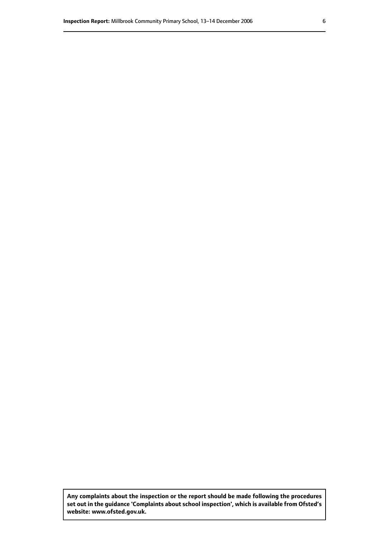**Any complaints about the inspection or the report should be made following the procedures set out inthe guidance 'Complaints about school inspection', whichis available from Ofsted's website: www.ofsted.gov.uk.**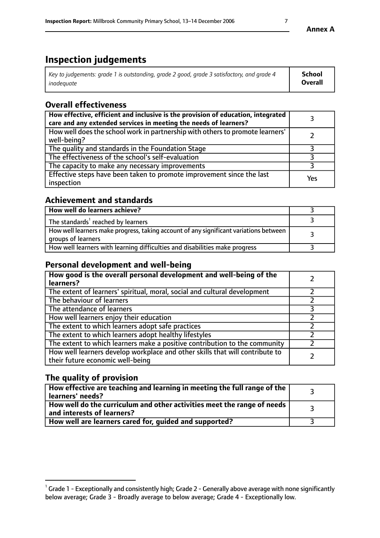# **Inspection judgements**

| Key to judgements: grade 1 is outstanding, grade 2 good, grade 3 satisfactory, and grade 4 | School         |
|--------------------------------------------------------------------------------------------|----------------|
| inadequate                                                                                 | <b>Overall</b> |

# **Overall effectiveness**

| How effective, efficient and inclusive is the provision of education, integrated<br>care and any extended services in meeting the needs of learners? |     |
|------------------------------------------------------------------------------------------------------------------------------------------------------|-----|
| How well does the school work in partnership with others to promote learners'<br>well-being?                                                         |     |
| The quality and standards in the Foundation Stage                                                                                                    |     |
| The effectiveness of the school's self-evaluation                                                                                                    |     |
| The capacity to make any necessary improvements                                                                                                      |     |
| Effective steps have been taken to promote improvement since the last<br>inspection                                                                  | Yes |

# **Achievement and standards**

| How well do learners achieve?                                                                               |  |
|-------------------------------------------------------------------------------------------------------------|--|
| The standards <sup>1</sup> reached by learners                                                              |  |
| How well learners make progress, taking account of any significant variations between<br>groups of learners |  |
| How well learners with learning difficulties and disabilities make progress                                 |  |

# **Personal development and well-being**

| How good is the overall personal development and well-being of the<br>learners?                                  |  |
|------------------------------------------------------------------------------------------------------------------|--|
| The extent of learners' spiritual, moral, social and cultural development                                        |  |
| The behaviour of learners                                                                                        |  |
| The attendance of learners                                                                                       |  |
| How well learners enjoy their education                                                                          |  |
| The extent to which learners adopt safe practices                                                                |  |
| The extent to which learners adopt healthy lifestyles                                                            |  |
| The extent to which learners make a positive contribution to the community                                       |  |
| How well learners develop workplace and other skills that will contribute to<br>their future economic well-being |  |

# **The quality of provision**

| How effective are teaching and learning in meeting the full range of the<br>learners' needs?          |  |
|-------------------------------------------------------------------------------------------------------|--|
| How well do the curriculum and other activities meet the range of needs<br>and interests of learners? |  |
| How well are learners cared for, guided and supported?                                                |  |

 $^1$  Grade 1 - Exceptionally and consistently high; Grade 2 - Generally above average with none significantly below average; Grade 3 - Broadly average to below average; Grade 4 - Exceptionally low.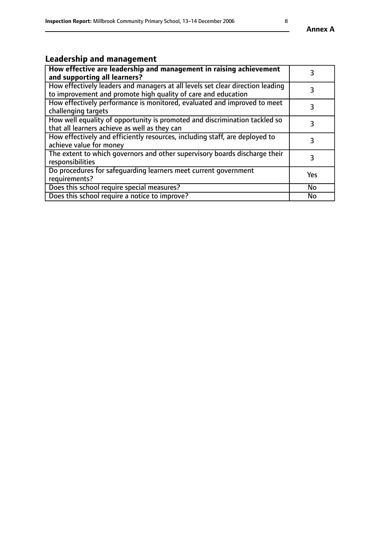# **Leadership and management**

| How effective are leadership and management in raising achievement<br>and supporting all learners?                                              | 3         |
|-------------------------------------------------------------------------------------------------------------------------------------------------|-----------|
| How effectively leaders and managers at all levels set clear direction leading<br>to improvement and promote high quality of care and education |           |
| How effectively performance is monitored, evaluated and improved to meet<br>challenging targets                                                 | 3         |
| How well equality of opportunity is promoted and discrimination tackled so<br>that all learners achieve as well as they can                     |           |
| How effectively and efficiently resources, including staff, are deployed to<br>achieve value for money                                          | 3         |
| The extent to which governors and other supervisory boards discharge their<br>responsibilities                                                  | 3         |
| Do procedures for safequarding learners meet current government<br>requirements?                                                                | Yes       |
| Does this school require special measures?                                                                                                      | No        |
| Does this school require a notice to improve?                                                                                                   | <b>No</b> |